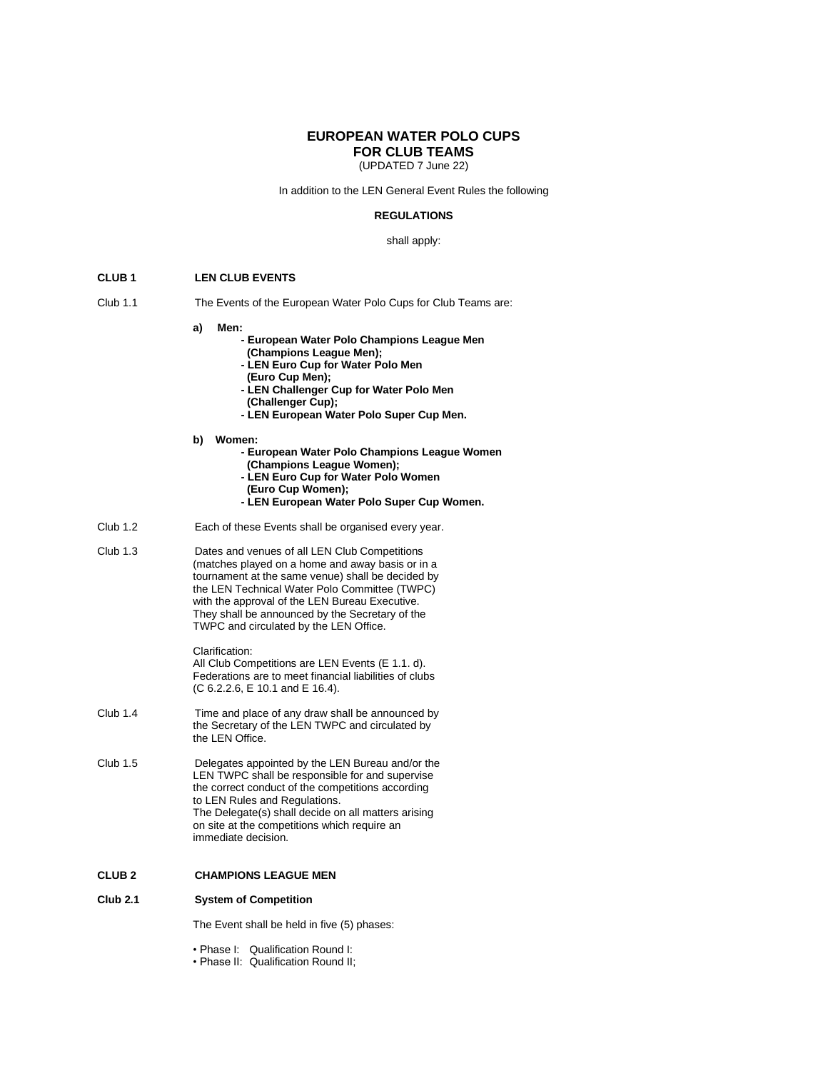### **EUROPEAN WATER POLO CUPS FOR CLUB TEAMS**

(UPDATED 7 June 22)

In addition to the LEN General Event Rules the following

### **REGULATIONS**

#### shall apply:

### **CLUB 1 LEN CLUB EVENTS**

- Club 1.1 The Events of the European Water Polo Cups for Club Teams are:
	- **a) Men:**

### **- European Water Polo Champions League Men (Champions League Men);**

- **- LEN Euro Cup for Water Polo Men**
- **(Euro Cup Men);**
- **- LEN Challenger Cup for Water Polo Men**
- **(Challenger Cup);**
- **- LEN European Water Polo Super Cup Men.**
- **b) Women:** 
	- **- European Water Polo Champions League Women**
	- **(Champions League Women);**
	- **- LEN Euro Cup for Water Polo Women**
	- **(Euro Cup Women);**
	- **- LEN European Water Polo Super Cup Women.**
- Club 1.2 Each of these Events shall be organised every year.
- Club 1.3 Dates and venues of all LEN Club Competitions (matches played on a home and away basis or in a tournament at the same venue) shall be decided by the LEN Technical Water Polo Committee (TWPC) with the approval of the LEN Bureau Executive. They shall be announced by the Secretary of the TWPC and circulated by the LEN Office.

#### Clarification:

All Club Competitions are LEN Events (E 1.1. d). Federations are to meet financial liabilities of clubs (C 6.2.2.6, E 10.1 and E 16.4).

- Club 1.4 Time and place of any draw shall be announced by the Secretary of the LEN TWPC and circulated by the LEN Office.
- Club 1.5 Delegates appointed by the LEN Bureau and/or the LEN TWPC shall be responsible for and supervise the correct conduct of the competitions according to LEN Rules and Regulations. The Delegate(s) shall decide on all matters arising on site at the competitions which require an immediate decision.

### **CLUB 2 CHAMPIONS LEAGUE MEN**

# **Club 2.1 System of Competition**

The Event shall be held in five (5) phases:

• Phase I: Qualification Round I:

• Phase II: Qualification Round II;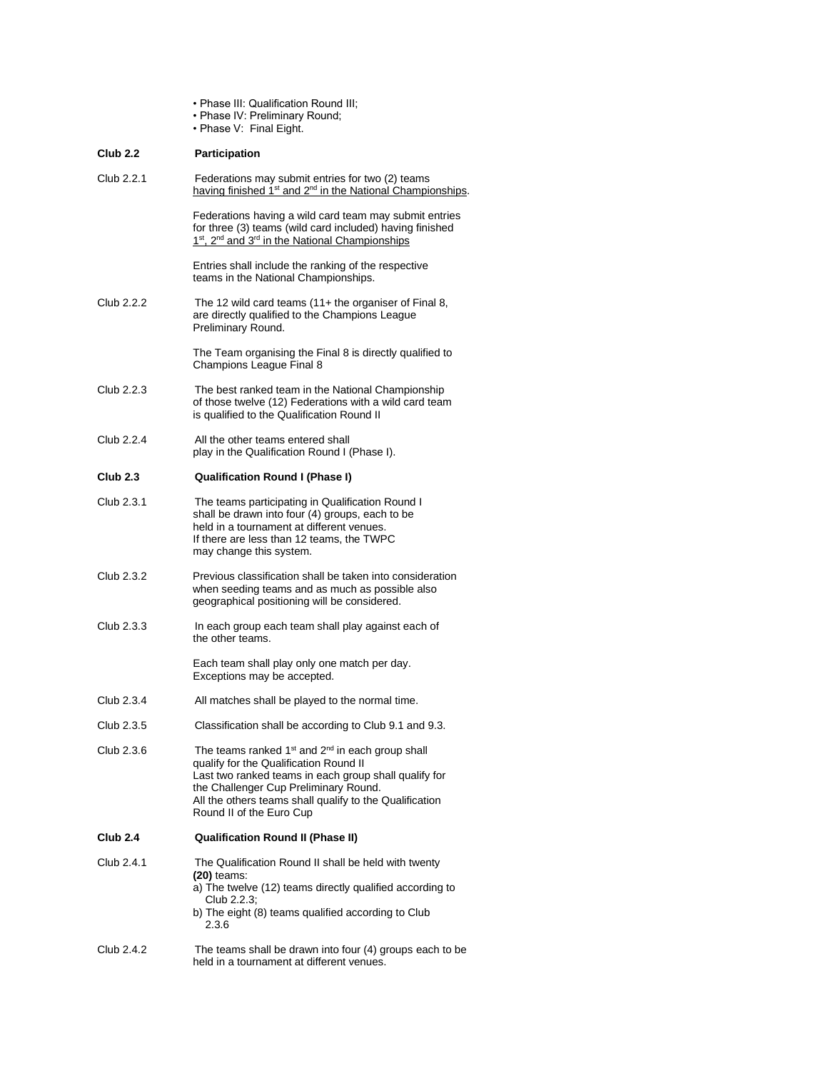|                 | . Phase III: Qualification Round III;<br>. Phase IV: Preliminary Round;<br>• Phase V: Final Eight.                                                                                                                                                                                                          |
|-----------------|-------------------------------------------------------------------------------------------------------------------------------------------------------------------------------------------------------------------------------------------------------------------------------------------------------------|
| <b>Club 2.2</b> | <b>Participation</b>                                                                                                                                                                                                                                                                                        |
| Club 2.2.1      | Federations may submit entries for two (2) teams<br>having finished 1 <sup>st</sup> and 2 <sup>nd</sup> in the National Championships.                                                                                                                                                                      |
|                 | Federations having a wild card team may submit entries<br>for three (3) teams (wild card included) having finished<br>1st, 2 <sup>nd</sup> and 3 <sup>rd</sup> in the National Championships                                                                                                                |
|                 | Entries shall include the ranking of the respective<br>teams in the National Championships.                                                                                                                                                                                                                 |
| Club 2.2.2      | The 12 wild card teams $(11 +$ the organiser of Final 8,<br>are directly qualified to the Champions League<br>Preliminary Round.                                                                                                                                                                            |
|                 | The Team organising the Final 8 is directly qualified to<br>Champions League Final 8                                                                                                                                                                                                                        |
| Club 2.2.3      | The best ranked team in the National Championship<br>of those twelve (12) Federations with a wild card team<br>is qualified to the Qualification Round II                                                                                                                                                   |
| Club 2.2.4      | All the other teams entered shall<br>play in the Qualification Round I (Phase I).                                                                                                                                                                                                                           |
| <b>Club 2.3</b> | <b>Qualification Round I (Phase I)</b>                                                                                                                                                                                                                                                                      |
| Club 2.3.1      | The teams participating in Qualification Round I<br>shall be drawn into four (4) groups, each to be<br>held in a tournament at different venues.<br>If there are less than 12 teams, the TWPC<br>may change this system.                                                                                    |
| Club 2.3.2      | Previous classification shall be taken into consideration<br>when seeding teams and as much as possible also<br>geographical positioning will be considered.                                                                                                                                                |
| Club 2.3.3      | In each group each team shall play against each of<br>the other teams.                                                                                                                                                                                                                                      |
|                 | Each team shall play only one match per day.<br>Exceptions may be accepted.                                                                                                                                                                                                                                 |
| Club 2.3.4      | All matches shall be played to the normal time                                                                                                                                                                                                                                                              |
| Club 2.3.5      | Classification shall be according to Club 9.1 and 9.3.                                                                                                                                                                                                                                                      |
| Club 2.3.6      | The teams ranked 1 <sup>st</sup> and 2 <sup>nd</sup> in each group shall<br>qualify for the Qualification Round II<br>Last two ranked teams in each group shall qualify for<br>the Challenger Cup Preliminary Round.<br>All the others teams shall qualify to the Qualification<br>Round II of the Euro Cup |
| <b>Club 2.4</b> | <b>Qualification Round II (Phase II)</b>                                                                                                                                                                                                                                                                    |
| Club 2.4.1      | The Qualification Round II shall be held with twenty<br>$(20)$ teams:<br>a) The twelve (12) teams directly qualified according to<br>Club 2.2.3;<br>b) The eight (8) teams qualified according to Club<br>2.3.6                                                                                             |
| Club 2.4.2      | The teams shall be drawn into four (4) groups each to be<br>held in a tournament at different venues.                                                                                                                                                                                                       |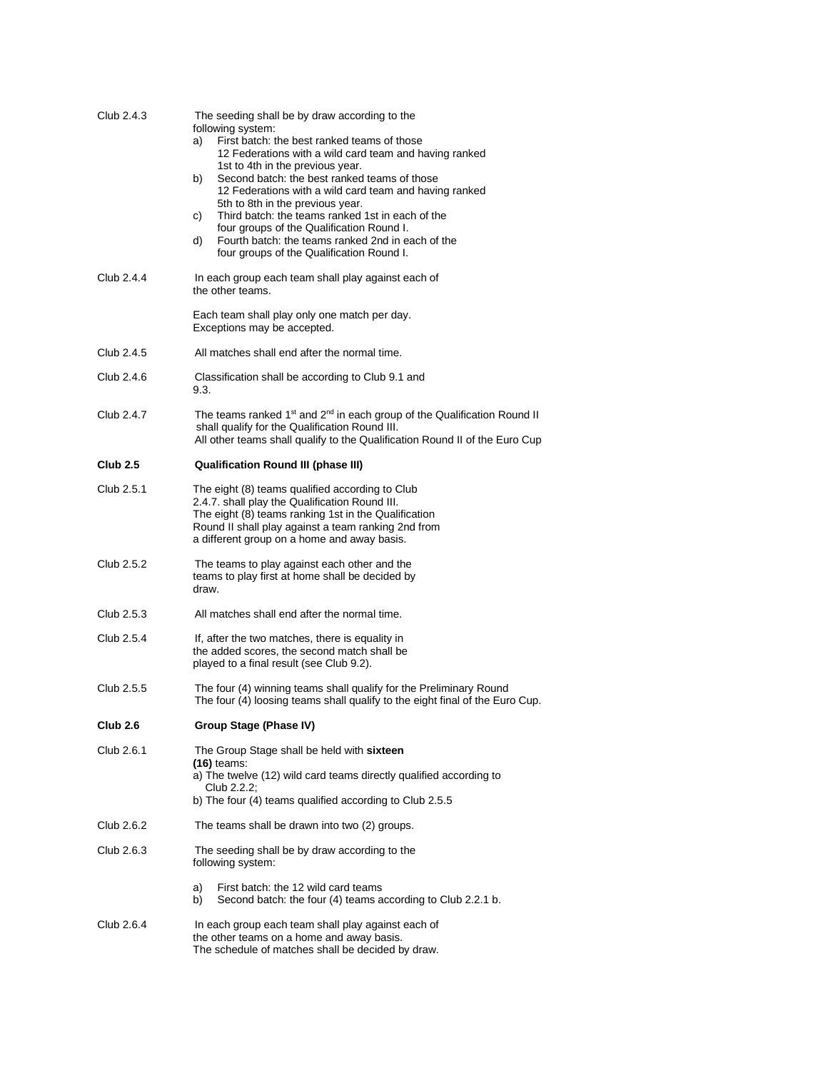| Club 2.4.3      | The seeding shall be by draw according to the<br>following system:<br>First batch: the best ranked teams of those<br>a)<br>12 Federations with a wild card team and having ranked<br>1st to 4th in the previous year.<br>Second batch: the best ranked teams of those<br>b)<br>12 Federations with a wild card team and having ranked<br>5th to 8th in the previous year.<br>Third batch: the teams ranked 1st in each of the<br>C)<br>four groups of the Qualification Round I.<br>Fourth batch: the teams ranked 2nd in each of the<br>d)<br>four groups of the Qualification Round I. |
|-----------------|------------------------------------------------------------------------------------------------------------------------------------------------------------------------------------------------------------------------------------------------------------------------------------------------------------------------------------------------------------------------------------------------------------------------------------------------------------------------------------------------------------------------------------------------------------------------------------------|
| Club 2.4.4      | In each group each team shall play against each of<br>the other teams.                                                                                                                                                                                                                                                                                                                                                                                                                                                                                                                   |
|                 | Each team shall play only one match per day.<br>Exceptions may be accepted.                                                                                                                                                                                                                                                                                                                                                                                                                                                                                                              |
| Club 2.4.5      | All matches shall end after the normal time.                                                                                                                                                                                                                                                                                                                                                                                                                                                                                                                                             |
| Club 2.4.6      | Classification shall be according to Club 9.1 and<br>9.3.                                                                                                                                                                                                                                                                                                                                                                                                                                                                                                                                |
| Club 2.4.7      | The teams ranked 1 <sup>st</sup> and 2 <sup>nd</sup> in each group of the Qualification Round II<br>shall qualify for the Qualification Round III.<br>All other teams shall qualify to the Qualification Round II of the Euro Cup                                                                                                                                                                                                                                                                                                                                                        |
| <b>Club 2.5</b> | <b>Qualification Round III (phase III)</b>                                                                                                                                                                                                                                                                                                                                                                                                                                                                                                                                               |
| Club 2.5.1      | The eight (8) teams qualified according to Club<br>2.4.7. shall play the Qualification Round III.<br>The eight (8) teams ranking 1st in the Qualification<br>Round II shall play against a team ranking 2nd from<br>a different group on a home and away basis.                                                                                                                                                                                                                                                                                                                          |
| Club 2.5.2      | The teams to play against each other and the<br>teams to play first at home shall be decided by<br>draw.                                                                                                                                                                                                                                                                                                                                                                                                                                                                                 |
| Club 2.5.3      | All matches shall end after the normal time.                                                                                                                                                                                                                                                                                                                                                                                                                                                                                                                                             |
| Club 2.5.4      | If, after the two matches, there is equality in<br>the added scores, the second match shall be<br>played to a final result (see Club 9.2).                                                                                                                                                                                                                                                                                                                                                                                                                                               |
| Club 2.5.5      | The four (4) winning teams shall qualify for the Preliminary Round<br>The four (4) loosing teams shall qualify to the eight final of the Euro Cup.                                                                                                                                                                                                                                                                                                                                                                                                                                       |
| Club 2.6        | Group Stage (Phase IV)                                                                                                                                                                                                                                                                                                                                                                                                                                                                                                                                                                   |
| Club 2.6.1      | The Group Stage shall be held with sixteen<br>$(16)$ teams:<br>a) The twelve (12) wild card teams directly qualified according to<br>Club 2.2.2;<br>b) The four (4) teams qualified according to Club 2.5.5                                                                                                                                                                                                                                                                                                                                                                              |
| Club 2.6.2      | The teams shall be drawn into two (2) groups.                                                                                                                                                                                                                                                                                                                                                                                                                                                                                                                                            |
| Club 2.6.3      | The seeding shall be by draw according to the<br>following system:                                                                                                                                                                                                                                                                                                                                                                                                                                                                                                                       |
|                 | a)<br>First batch: the 12 wild card teams<br>Second batch: the four (4) teams according to Club 2.2.1 b.<br>b)                                                                                                                                                                                                                                                                                                                                                                                                                                                                           |
| Club 2.6.4      | In each group each team shall play against each of<br>the other teams on a home and away basis.<br>The schedule of matches shall be decided by draw.                                                                                                                                                                                                                                                                                                                                                                                                                                     |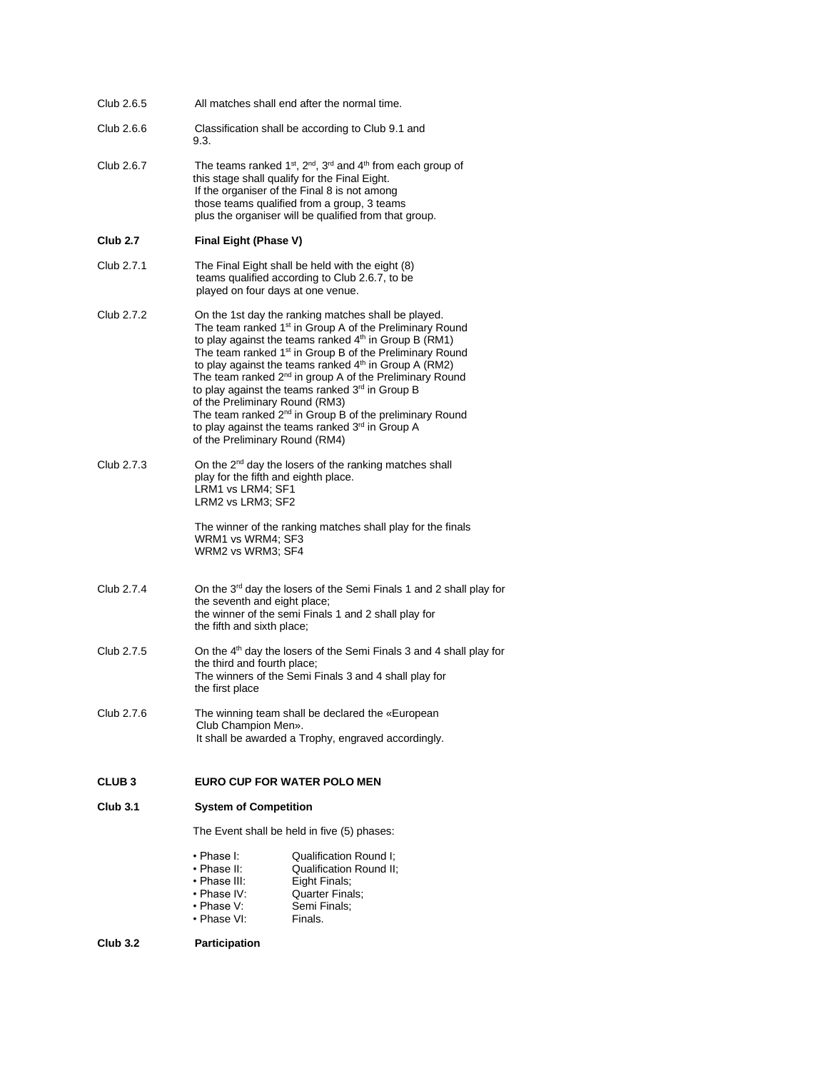| Club 2.6.5      |                                                                                                   | All matches shall end after the normal time.                                                                                                                                                                                                                                                                                                                                                                                                                                                                                                                                        |
|-----------------|---------------------------------------------------------------------------------------------------|-------------------------------------------------------------------------------------------------------------------------------------------------------------------------------------------------------------------------------------------------------------------------------------------------------------------------------------------------------------------------------------------------------------------------------------------------------------------------------------------------------------------------------------------------------------------------------------|
| Club 2.6.6      | 9.3.                                                                                              | Classification shall be according to Club 9.1 and                                                                                                                                                                                                                                                                                                                                                                                                                                                                                                                                   |
| Club 2.6.7      |                                                                                                   | The teams ranked 1 <sup>st</sup> , 2 <sup>nd</sup> , 3 <sup>rd</sup> and 4 <sup>th</sup> from each group of<br>this stage shall qualify for the Final Eight.<br>If the organiser of the Final 8 is not among<br>those teams qualified from a group, 3 teams<br>plus the organiser will be qualified from that group.                                                                                                                                                                                                                                                                |
| <b>Club 2.7</b> | Final Eight (Phase V)                                                                             |                                                                                                                                                                                                                                                                                                                                                                                                                                                                                                                                                                                     |
| Club 2.7.1      | played on four days at one venue.                                                                 | The Final Eight shall be held with the eight (8)<br>teams qualified according to Club 2.6.7, to be                                                                                                                                                                                                                                                                                                                                                                                                                                                                                  |
| Club 2.7.2      | of the Preliminary Round (RM3)<br>of the Preliminary Round (RM4)                                  | On the 1st day the ranking matches shall be played.<br>The team ranked 1 <sup>st</sup> in Group A of the Preliminary Round<br>to play against the teams ranked 4th in Group B (RM1)<br>The team ranked 1 <sup>st</sup> in Group B of the Preliminary Round<br>to play against the teams ranked 4th in Group A (RM2)<br>The team ranked 2 <sup>nd</sup> in group A of the Preliminary Round<br>to play against the teams ranked 3rd in Group B<br>The team ranked 2 <sup>nd</sup> in Group B of the preliminary Round<br>to play against the teams ranked 3 <sup>rd</sup> in Group A |
| Club 2.7.3      | play for the fifth and eighth place.<br>LRM1 vs LRM4; SF1<br>LRM2 vs LRM3; SF2                    | On the 2 <sup>nd</sup> day the losers of the ranking matches shall                                                                                                                                                                                                                                                                                                                                                                                                                                                                                                                  |
|                 | WRM1 vs WRM4; SF3<br>WRM2 vs WRM3; SF4                                                            | The winner of the ranking matches shall play for the finals                                                                                                                                                                                                                                                                                                                                                                                                                                                                                                                         |
| Club 2.7.4      | the seventh and eight place;<br>the fifth and sixth place;                                        | On the 3rd day the losers of the Semi Finals 1 and 2 shall play for<br>the winner of the semi Finals 1 and 2 shall play for                                                                                                                                                                                                                                                                                                                                                                                                                                                         |
| Club 2.7.5      | the third and fourth place;<br>the first place                                                    | On the 4 <sup>th</sup> day the losers of the Semi Finals 3 and 4 shall play for<br>The winners of the Semi Finals 3 and 4 shall play for                                                                                                                                                                                                                                                                                                                                                                                                                                            |
| Club 2.7.6      | Club Champion Men».                                                                               | The winning team shall be declared the «European<br>It shall be awarded a Trophy, engraved accordingly.                                                                                                                                                                                                                                                                                                                                                                                                                                                                             |
| <b>CLUB3</b>    | <b>EURO CUP FOR WATER POLO MEN</b>                                                                |                                                                                                                                                                                                                                                                                                                                                                                                                                                                                                                                                                                     |
| <b>Club 3.1</b> | <b>System of Competition</b>                                                                      |                                                                                                                                                                                                                                                                                                                                                                                                                                                                                                                                                                                     |
|                 |                                                                                                   | The Event shall be held in five (5) phases:                                                                                                                                                                                                                                                                                                                                                                                                                                                                                                                                         |
|                 | • Phase I <sup>.</sup><br>• Phase II:<br>• Phase III:<br>• Phase IV:<br>• Phase V:<br>• Phase VI: | Qualification Round I;<br>Qualification Round II;<br>Eight Finals;<br>Quarter Finals;<br>Semi Finals;<br>Finals.                                                                                                                                                                                                                                                                                                                                                                                                                                                                    |
| <b>Club 3.2</b> | Participation                                                                                     |                                                                                                                                                                                                                                                                                                                                                                                                                                                                                                                                                                                     |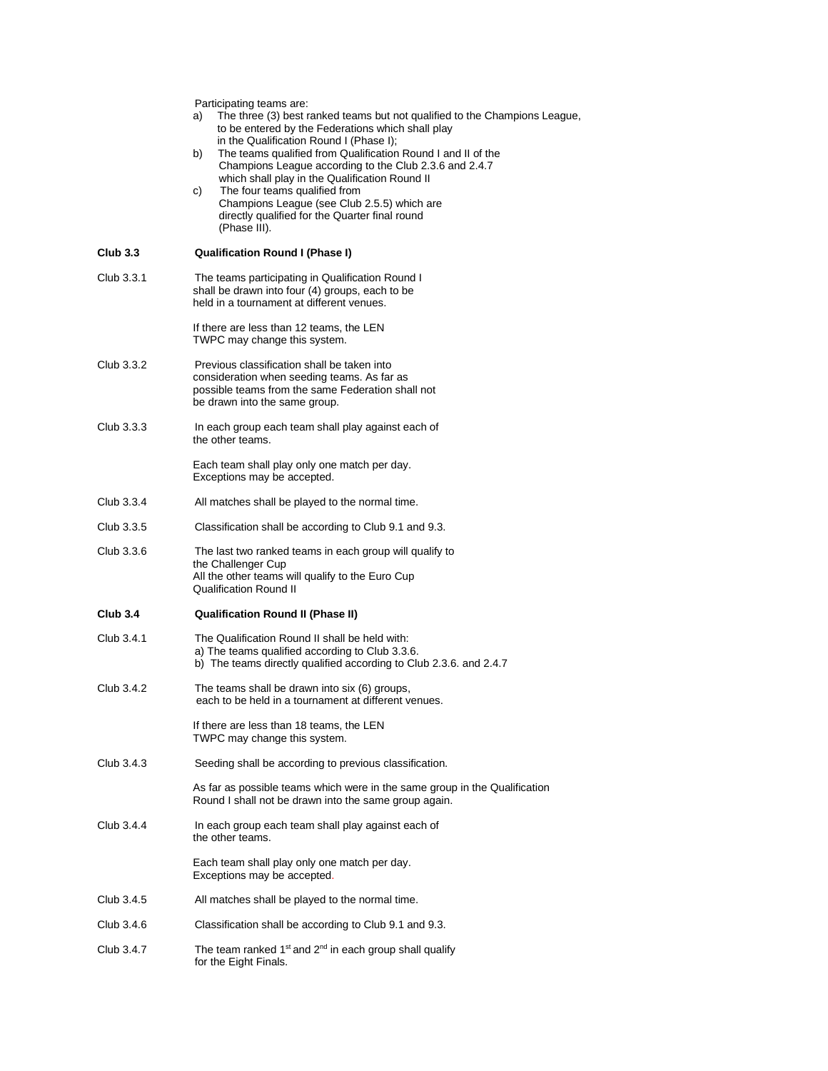|                 | Participating teams are:<br>The three (3) best ranked teams but not qualified to the Champions League,<br>a)<br>to be entered by the Federations which shall play<br>in the Qualification Round I (Phase I);<br>The teams qualified from Qualification Round I and II of the<br>b)<br>Champions League according to the Club 2.3.6 and 2.4.7<br>which shall play in the Qualification Round II<br>The four teams qualified from<br>C)<br>Champions League (see Club 2.5.5) which are<br>directly qualified for the Quarter final round<br>(Phase III). |
|-----------------|--------------------------------------------------------------------------------------------------------------------------------------------------------------------------------------------------------------------------------------------------------------------------------------------------------------------------------------------------------------------------------------------------------------------------------------------------------------------------------------------------------------------------------------------------------|
| <b>Club 3.3</b> | <b>Qualification Round I (Phase I)</b>                                                                                                                                                                                                                                                                                                                                                                                                                                                                                                                 |
| Club 3.3.1      | The teams participating in Qualification Round I<br>shall be drawn into four (4) groups, each to be<br>held in a tournament at different venues.                                                                                                                                                                                                                                                                                                                                                                                                       |
|                 | If there are less than 12 teams, the LEN<br>TWPC may change this system.                                                                                                                                                                                                                                                                                                                                                                                                                                                                               |
| Club 3.3.2      | Previous classification shall be taken into<br>consideration when seeding teams. As far as<br>possible teams from the same Federation shall not<br>be drawn into the same group.                                                                                                                                                                                                                                                                                                                                                                       |
| Club 3.3.3      | In each group each team shall play against each of<br>the other teams.                                                                                                                                                                                                                                                                                                                                                                                                                                                                                 |
|                 | Each team shall play only one match per day.<br>Exceptions may be accepted.                                                                                                                                                                                                                                                                                                                                                                                                                                                                            |
| Club 3.3.4      | All matches shall be played to the normal time.                                                                                                                                                                                                                                                                                                                                                                                                                                                                                                        |
| Club 3.3.5      | Classification shall be according to Club 9.1 and 9.3.                                                                                                                                                                                                                                                                                                                                                                                                                                                                                                 |
| Club 3.3.6      | The last two ranked teams in each group will qualify to<br>the Challenger Cup<br>All the other teams will qualify to the Euro Cup<br><b>Qualification Round II</b>                                                                                                                                                                                                                                                                                                                                                                                     |
| <b>Club 3.4</b> | <b>Qualification Round II (Phase II)</b>                                                                                                                                                                                                                                                                                                                                                                                                                                                                                                               |
| Club 3.4.1      | The Qualification Round II shall be held with:<br>a) The teams qualified according to Club 3.3.6.<br>b) The teams directly qualified according to Club 2.3.6. and 2.4.7                                                                                                                                                                                                                                                                                                                                                                                |
| Club 3.4.2      | The teams shall be drawn into six (6) groups,<br>each to be held in a tournament at different venues                                                                                                                                                                                                                                                                                                                                                                                                                                                   |
|                 | If there are less than 18 teams, the LEN<br>TWPC may change this system.                                                                                                                                                                                                                                                                                                                                                                                                                                                                               |
| Club 3.4.3      | Seeding shall be according to previous classification.                                                                                                                                                                                                                                                                                                                                                                                                                                                                                                 |
|                 | As far as possible teams which were in the same group in the Qualification<br>Round I shall not be drawn into the same group again.                                                                                                                                                                                                                                                                                                                                                                                                                    |
| Club 3.4.4      | In each group each team shall play against each of<br>the other teams.                                                                                                                                                                                                                                                                                                                                                                                                                                                                                 |
|                 | Each team shall play only one match per day.<br>Exceptions may be accepted.                                                                                                                                                                                                                                                                                                                                                                                                                                                                            |
| Club 3.4.5      | All matches shall be played to the normal time.                                                                                                                                                                                                                                                                                                                                                                                                                                                                                                        |
| Club 3.4.6      | Classification shall be according to Club 9.1 and 9.3.                                                                                                                                                                                                                                                                                                                                                                                                                                                                                                 |
| Club 3.4.7      | The team ranked 1 <sup>st</sup> and 2 <sup>nd</sup> in each group shall qualify<br>for the Eight Finals.                                                                                                                                                                                                                                                                                                                                                                                                                                               |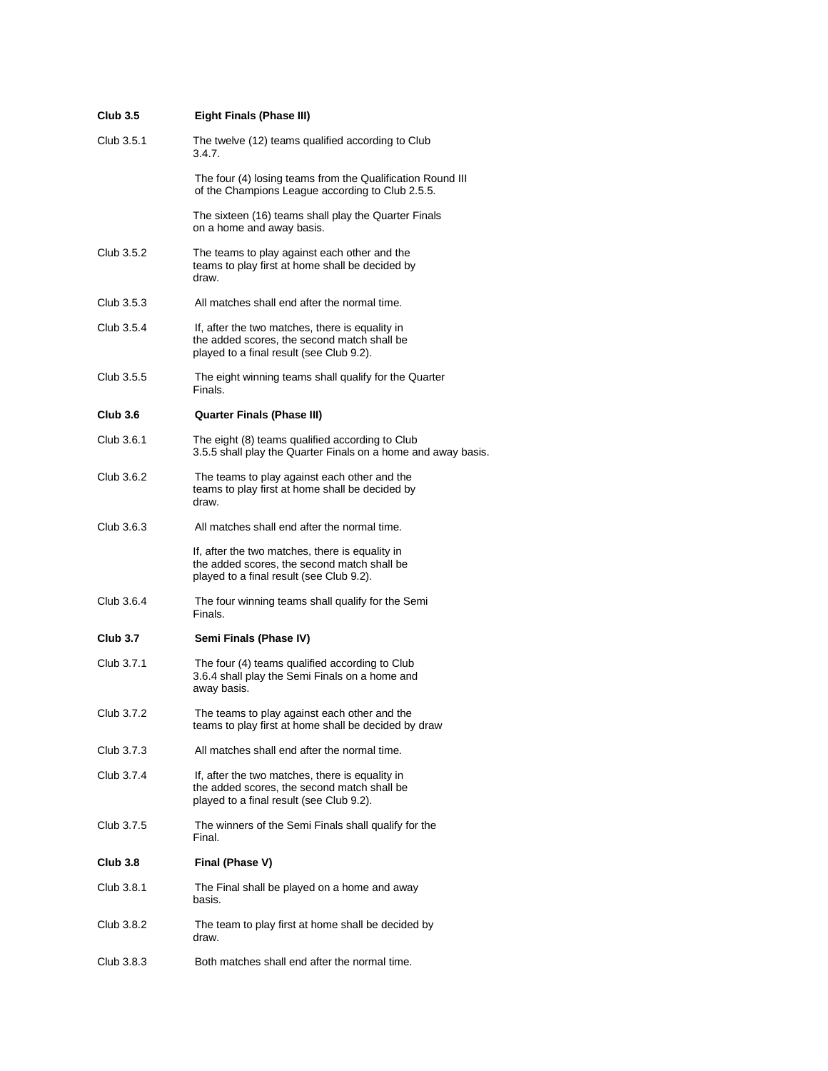| <b>Club 3.5</b> | Eight Finals (Phase III)                                                                                                                   |
|-----------------|--------------------------------------------------------------------------------------------------------------------------------------------|
| Club 3.5.1      | The twelve (12) teams qualified according to Club<br>3.4.7.                                                                                |
|                 | The four (4) losing teams from the Qualification Round III<br>of the Champions League according to Club 2.5.5.                             |
|                 | The sixteen (16) teams shall play the Quarter Finals<br>on a home and away basis.                                                          |
| Club 3.5.2      | The teams to play against each other and the<br>teams to play first at home shall be decided by<br>draw.                                   |
| Club 3.5.3      | All matches shall end after the normal time.                                                                                               |
| Club 3.5.4      | If, after the two matches, there is equality in<br>the added scores, the second match shall be<br>played to a final result (see Club 9.2). |
| Club 3.5.5      | The eight winning teams shall qualify for the Quarter<br>Finals.                                                                           |
| Club3.6         | <b>Quarter Finals (Phase III)</b>                                                                                                          |
| Club 3.6.1      | The eight (8) teams qualified according to Club<br>3.5.5 shall play the Quarter Finals on a home and away basis.                           |
| Club 3.6.2      | The teams to play against each other and the<br>teams to play first at home shall be decided by<br>draw.                                   |
| Club 3.6.3      | All matches shall end after the normal time.                                                                                               |
|                 | If, after the two matches, there is equality in<br>the added scores, the second match shall be<br>played to a final result (see Club 9.2). |
| Club 3.6.4      | The four winning teams shall qualify for the Semi<br>Finals.                                                                               |
| Club 3.7        | Semi Finals (Phase IV)                                                                                                                     |
| Club 3.7.1      | The four (4) teams qualified according to Club<br>3.6.4 shall play the Semi Finals on a home and<br>away basis.                            |
| Club 3.7.2      | The teams to play against each other and the<br>teams to play first at home shall be decided by draw                                       |
| Club 3.7.3      | All matches shall end after the normal time.                                                                                               |
| Club 3.7.4      | If, after the two matches, there is equality in<br>the added scores, the second match shall be<br>played to a final result (see Club 9.2). |
| Club 3.7.5      | The winners of the Semi Finals shall qualify for the<br>Final.                                                                             |
| Club 3.8        | Final (Phase V)                                                                                                                            |
| Club 3.8.1      | The Final shall be played on a home and away<br>basis.                                                                                     |
| Club 3.8.2      | The team to play first at home shall be decided by<br>draw.                                                                                |
| Club 3.8.3      | Both matches shall end after the normal time.                                                                                              |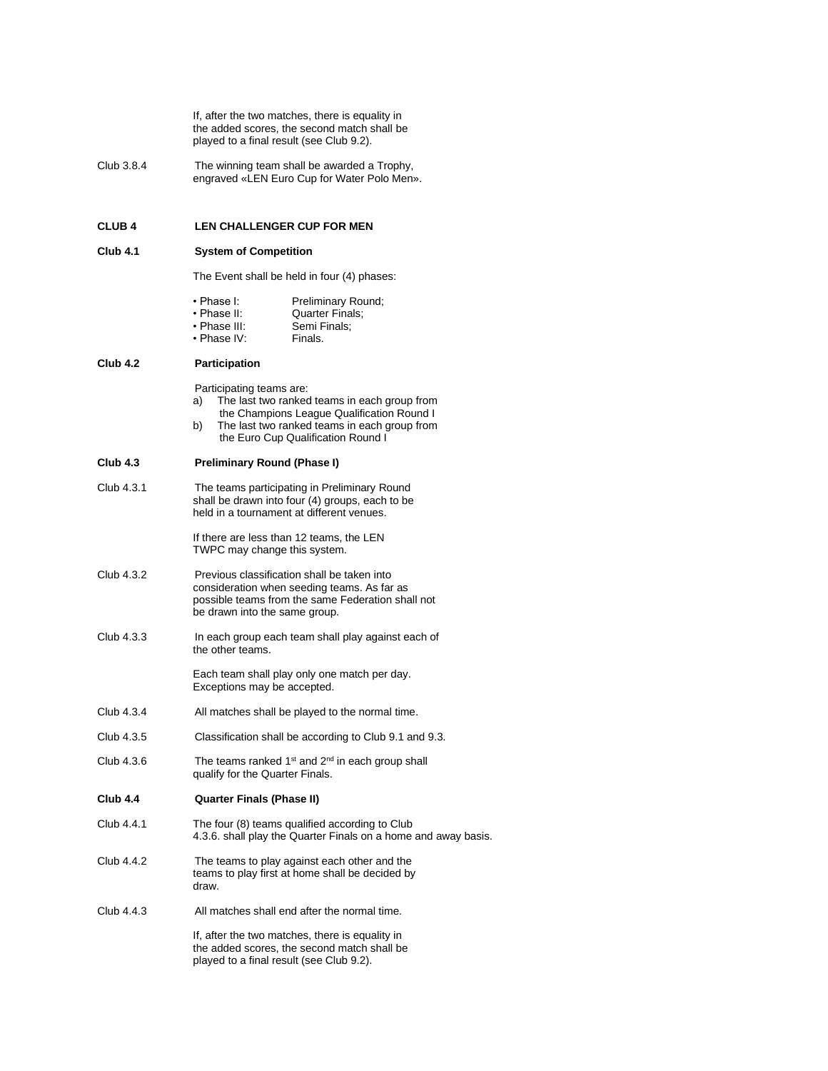If, after the two matches, there is equality in the added scores, the second match shall be played to a final result (see Club 9.2).

Club 3.8.4 The winning team shall be awarded a Trophy, engraved «LEN Euro Cup for Water Polo Men».

# **CLUB 4 LEN CHALLENGER CUP FOR MEN**

# **Club 4.1 System of Competition**

|                 |                                                                | The Event shall be held in four (4) phases:                                                                                                                                      |  |
|-----------------|----------------------------------------------------------------|----------------------------------------------------------------------------------------------------------------------------------------------------------------------------------|--|
|                 | • Phase I:<br>• Phase II:<br>• Phase III:<br>$\cdot$ Phase IV: | Preliminary Round;<br>Quarter Finals;<br>Semi Finals;<br>Finals.                                                                                                                 |  |
| <b>Club 4.2</b> | <b>Participation</b>                                           |                                                                                                                                                                                  |  |
|                 | Participating teams are:<br>a)<br>b)                           | The last two ranked teams in each group from<br>the Champions League Qualification Round I<br>The last two ranked teams in each group from<br>the Euro Cup Qualification Round I |  |
| Club 4.3        | Preliminary Round (Phase I)                                    |                                                                                                                                                                                  |  |
| Club 4.3.1      |                                                                | The teams participating in Preliminary Round<br>shall be drawn into four (4) groups, each to be<br>held in a tournament at different venues.                                     |  |
|                 | TWPC may change this system.                                   | If there are less than 12 teams, the LEN                                                                                                                                         |  |
| Club 4.3.2      | be drawn into the same group.                                  | Previous classification shall be taken into<br>consideration when seeding teams. As far as<br>possible teams from the same Federation shall not                                  |  |
| Club 4.3.3      | the other teams.                                               | In each group each team shall play against each of                                                                                                                               |  |
|                 | Exceptions may be accepted.                                    | Each team shall play only one match per day.                                                                                                                                     |  |
| Club 4.3.4      |                                                                | All matches shall be played to the normal time.                                                                                                                                  |  |
| Club 4.3.5      |                                                                | Classification shall be according to Club 9.1 and 9.3.                                                                                                                           |  |
| Club 4.3.6      | qualify for the Quarter Finals.                                | The teams ranked 1 <sup>st</sup> and 2 <sup>nd</sup> in each group shall                                                                                                         |  |
| Club 4.4        | <b>Quarter Finals (Phase II)</b>                               |                                                                                                                                                                                  |  |
| Club 4.4.1      |                                                                | The four (8) teams qualified according to Club<br>4.3.6. shall play the Quarter Finals on a home and away basis.                                                                 |  |
| Club 4.4.2      | draw.                                                          | The teams to play against each other and the<br>teams to play first at home shall be decided by                                                                                  |  |
| Club 4.4.3      |                                                                | All matches shall end after the normal time.                                                                                                                                     |  |
|                 |                                                                | If, after the two matches, there is equality in<br>the added scores, the second match shall be                                                                                   |  |

played to a final result (see Club 9.2).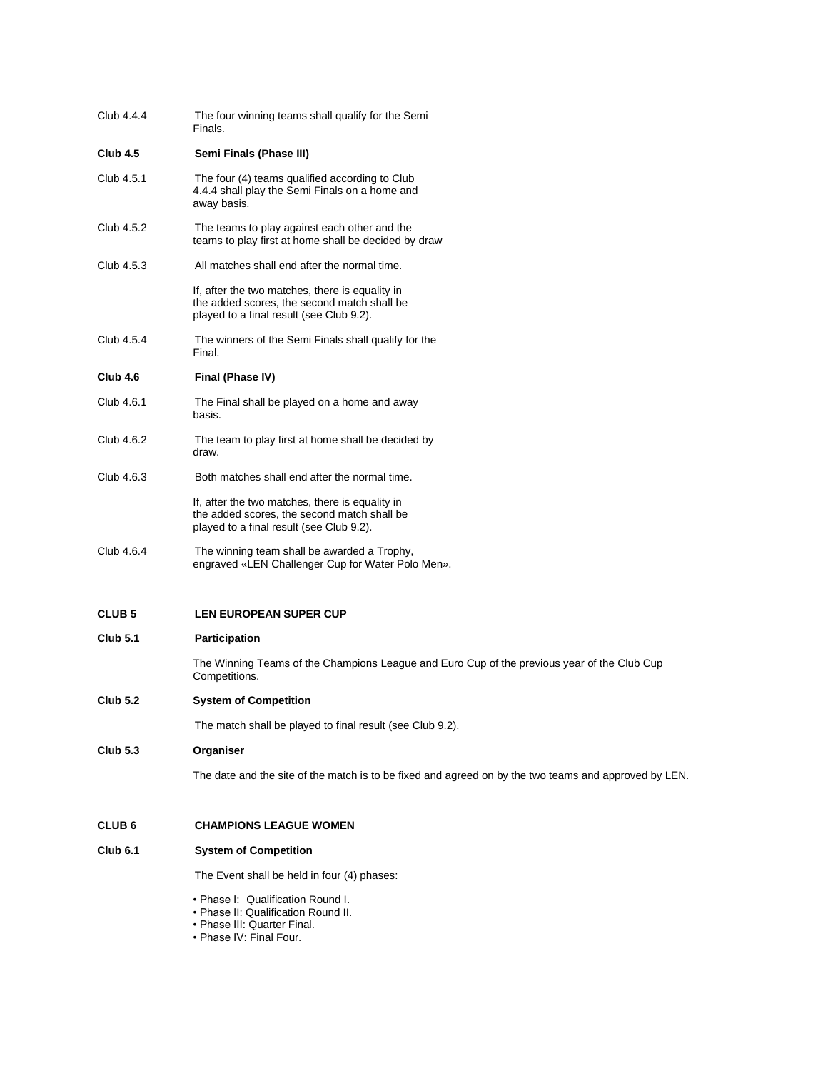| Club 4.4.4          | The four winning teams shall qualify for the Semi<br>Finals.                                                                               |
|---------------------|--------------------------------------------------------------------------------------------------------------------------------------------|
| Club 4.5            | Semi Finals (Phase III)                                                                                                                    |
| Club 4.5.1          | The four (4) teams qualified according to Club<br>4.4.4 shall play the Semi Finals on a home and<br>away basis.                            |
| Club 4.5.2          | The teams to play against each other and the<br>teams to play first at home shall be decided by draw                                       |
| Club 4.5.3          | All matches shall end after the normal time.                                                                                               |
|                     | If, after the two matches, there is equality in<br>the added scores, the second match shall be<br>played to a final result (see Club 9.2). |
| Club 4.5.4          | The winners of the Semi Finals shall qualify for the<br>Final.                                                                             |
| Club 4.6            | Final (Phase IV)                                                                                                                           |
| Club 4.6.1          | The Final shall be played on a home and away<br>basis.                                                                                     |
| Club 4.6.2          | The team to play first at home shall be decided by<br>draw.                                                                                |
| Club 4.6.3          | Both matches shall end after the normal time.                                                                                              |
|                     | If, after the two matches, there is equality in<br>the added scores, the second match shall be<br>played to a final result (see Club 9.2). |
| Club 4.6.4          | The winning team shall be awarded a Trophy,<br>engraved «LEN Challenger Cup for Water Polo Men».                                           |
| <b>CLUB 5</b>       | <b>LEN EUROPEAN SUPER CUP</b>                                                                                                              |
| Club 5.1            | Participation                                                                                                                              |
|                     | The Winning Teams of the Champions League and Euro Cup of the previous year of the Club Cup<br>Competitions.                               |
| Club 5.2            | <b>System of Competition</b>                                                                                                               |
|                     | The match shall be played to final result (see Club 9.2).                                                                                  |
| Club 5.3            | Organiser                                                                                                                                  |
|                     | The date and the site of the match is to be fixed and agreed on by the two teams and approved by LEN.                                      |
| CLUB 6              | <b>CHAMPIONS LEAGUE WOMEN</b>                                                                                                              |
| Club <sub>6.1</sub> | <b>System of Competition</b>                                                                                                               |
|                     | The Event shall be held in four (4) phases:                                                                                                |
|                     | • Phase I: Qualification Round I.<br>• Phase II: Qualification Round II.<br>• Phase III: Quarter Final.<br>• Phase IV: Final Four.         |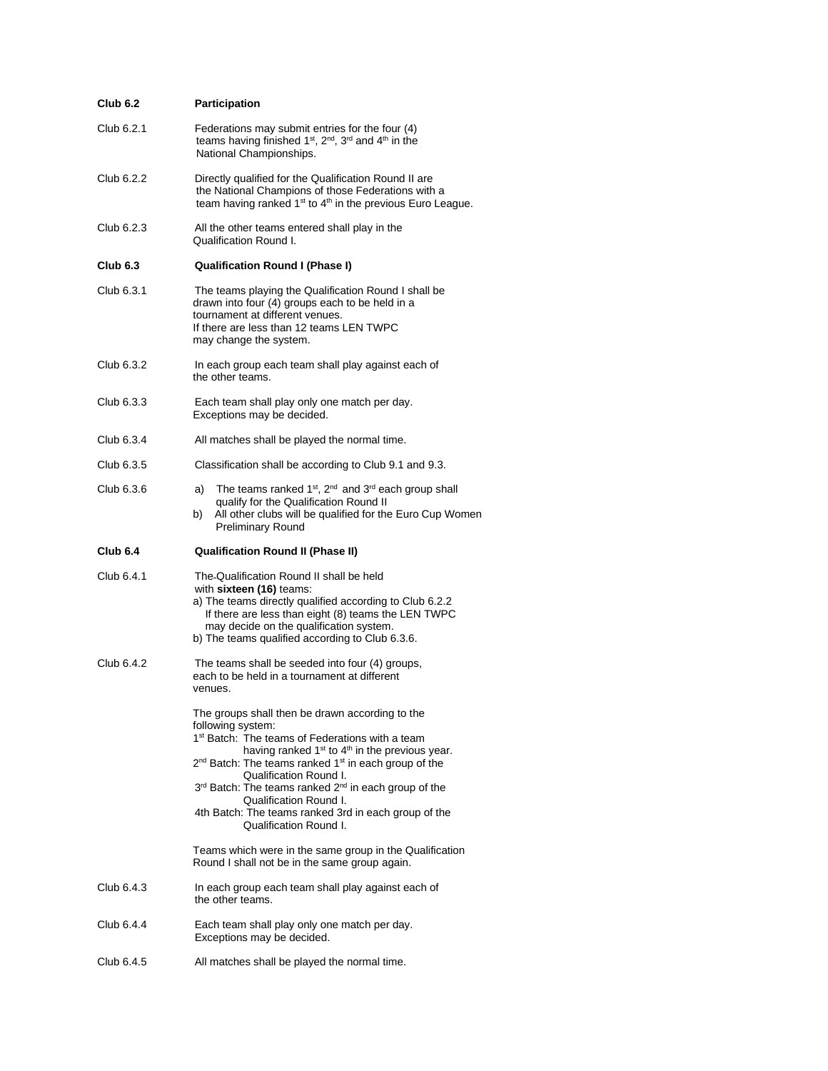| <b>Club 6.2</b> | Participation                                                                                                                                                                                                                                                                                                                                                                                                                                                           |
|-----------------|-------------------------------------------------------------------------------------------------------------------------------------------------------------------------------------------------------------------------------------------------------------------------------------------------------------------------------------------------------------------------------------------------------------------------------------------------------------------------|
| Club 6.2.1      | Federations may submit entries for the four (4)<br>teams having finished 1 <sup>st</sup> , 2 <sup>nd</sup> , 3 <sup>rd</sup> and 4 <sup>th</sup> in the<br>National Championships.                                                                                                                                                                                                                                                                                      |
| Club 6.2.2      | Directly qualified for the Qualification Round II are<br>the National Champions of those Federations with a<br>team having ranked 1 <sup>st</sup> to 4 <sup>th</sup> in the previous Euro League.                                                                                                                                                                                                                                                                       |
| Club 6.2.3      | All the other teams entered shall play in the<br><b>Qualification Round I.</b>                                                                                                                                                                                                                                                                                                                                                                                          |
| <b>Club 6.3</b> | <b>Qualification Round I (Phase I)</b>                                                                                                                                                                                                                                                                                                                                                                                                                                  |
| Club 6.3.1      | The teams playing the Qualification Round I shall be<br>drawn into four (4) groups each to be held in a<br>tournament at different venues.<br>If there are less than 12 teams LEN TWPC<br>may change the system.                                                                                                                                                                                                                                                        |
| Club 6.3.2      | In each group each team shall play against each of<br>the other teams.                                                                                                                                                                                                                                                                                                                                                                                                  |
| Club 6.3.3      | Each team shall play only one match per day.<br>Exceptions may be decided.                                                                                                                                                                                                                                                                                                                                                                                              |
| Club 6.3.4      | All matches shall be played the normal time.                                                                                                                                                                                                                                                                                                                                                                                                                            |
| Club 6.3.5      | Classification shall be according to Club 9.1 and 9.3.                                                                                                                                                                                                                                                                                                                                                                                                                  |
| Club 6.3.6      | The teams ranked 1 <sup>st</sup> , 2 <sup>nd</sup> and 3 <sup>rd</sup> each group shall<br>a)<br>qualify for the Qualification Round II<br>All other clubs will be qualified for the Euro Cup Women<br>b)<br><b>Preliminary Round</b>                                                                                                                                                                                                                                   |
| Club 6.4        | <b>Qualification Round II (Phase II)</b>                                                                                                                                                                                                                                                                                                                                                                                                                                |
| Club 6.4.1      | The Qualification Round II shall be held<br>with sixteen (16) teams:<br>a) The teams directly qualified according to Club 6.2.2<br>If there are less than eight (8) teams the LEN TWPC<br>may decide on the qualification system.<br>b) The teams qualified according to Club 6.3.6.                                                                                                                                                                                    |
| Club 6.4.2      | The teams shall be seeded into four (4) groups,<br>each to be held in a tournament at different<br>venues.                                                                                                                                                                                                                                                                                                                                                              |
|                 | The groups shall then be drawn according to the<br>following system:<br>1 <sup>st</sup> Batch: The teams of Federations with a team<br>having ranked $1st$ to $4th$ in the previous year.<br>2 <sup>nd</sup> Batch: The teams ranked 1 <sup>st</sup> in each group of the<br>Qualification Round I.<br>3rd Batch: The teams ranked 2nd in each group of the<br>Qualification Round I.<br>4th Batch: The teams ranked 3rd in each group of the<br>Qualification Round I. |
|                 | Teams which were in the same group in the Qualification<br>Round I shall not be in the same group again.                                                                                                                                                                                                                                                                                                                                                                |
| Club 6.4.3      | In each group each team shall play against each of<br>the other teams.                                                                                                                                                                                                                                                                                                                                                                                                  |
| Club 6.4.4      | Each team shall play only one match per day.<br>Exceptions may be decided.                                                                                                                                                                                                                                                                                                                                                                                              |
| Club 6.4.5      | All matches shall be played the normal time.                                                                                                                                                                                                                                                                                                                                                                                                                            |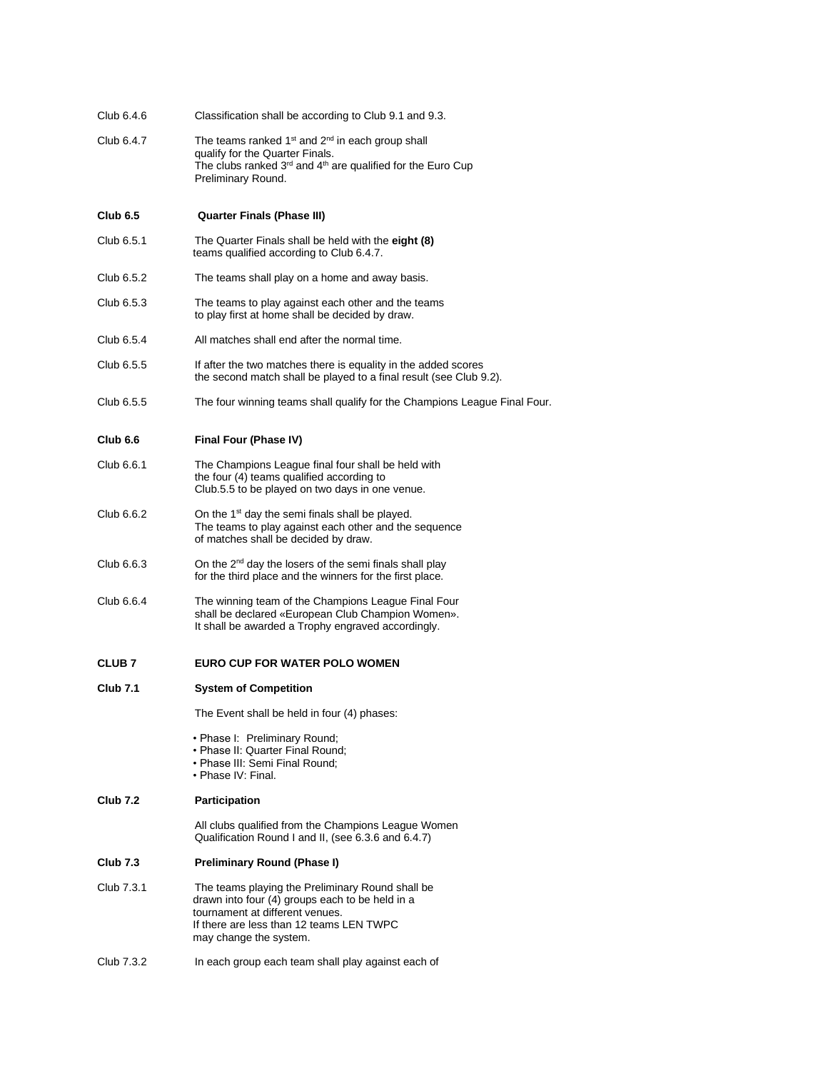| Club 6.4.6          | Classification shall be according to Club 9.1 and 9.3.                                                                                                                                                                   |
|---------------------|--------------------------------------------------------------------------------------------------------------------------------------------------------------------------------------------------------------------------|
| Club 6.4.7          | The teams ranked 1 <sup>st</sup> and 2 <sup>nd</sup> in each group shall<br>qualify for the Quarter Finals.<br>The clubs ranked 3 <sup>rd</sup> and 4 <sup>th</sup> are qualified for the Euro Cup<br>Preliminary Round. |
| Club 6.5            | <b>Quarter Finals (Phase III)</b>                                                                                                                                                                                        |
| Club 6.5.1          | The Quarter Finals shall be held with the eight (8)<br>teams qualified according to Club 6.4.7.                                                                                                                          |
| Club 6.5.2          | The teams shall play on a home and away basis.                                                                                                                                                                           |
| Club 6.5.3          | The teams to play against each other and the teams<br>to play first at home shall be decided by draw.                                                                                                                    |
| Club 6.5.4          | All matches shall end after the normal time.                                                                                                                                                                             |
| Club 6.5.5          | If after the two matches there is equality in the added scores<br>the second match shall be played to a final result (see Club 9.2).                                                                                     |
| Club 6.5.5          | The four winning teams shall qualify for the Champions League Final Four.                                                                                                                                                |
| Club <sub>6.6</sub> | Final Four (Phase IV)                                                                                                                                                                                                    |
| Club 6.6.1          | The Champions League final four shall be held with<br>the four (4) teams qualified according to<br>Club.5.5 to be played on two days in one venue.                                                                       |
| Club 6.6.2          | On the 1 <sup>st</sup> day the semi finals shall be played.<br>The teams to play against each other and the sequence<br>of matches shall be decided by draw.                                                             |
| Club 6.6.3          | On the 2 <sup>nd</sup> day the losers of the semi finals shall play<br>for the third place and the winners for the first place.                                                                                          |
| Club 6.6.4          | The winning team of the Champions League Final Four<br>shall be declared «European Club Champion Women».<br>It shall be awarded a Trophy engraved accordingly.                                                           |
| <b>CLUB 7</b>       | <b>EURO CUP FOR WATER POLO WOMEN</b>                                                                                                                                                                                     |
| <b>Club 7.1</b>     | <b>System of Competition</b>                                                                                                                                                                                             |
|                     | The Event shall be held in four (4) phases:                                                                                                                                                                              |
|                     | · Phase I: Preliminary Round;<br>• Phase II: Quarter Final Round;<br>• Phase III: Semi Final Round;<br>• Phase IV: Final.                                                                                                |
| <b>Club 7.2</b>     | Participation                                                                                                                                                                                                            |
|                     | All clubs qualified from the Champions League Women<br>Qualification Round I and II, (see 6.3.6 and 6.4.7)                                                                                                               |
| Club 7.3            | <b>Preliminary Round (Phase I)</b>                                                                                                                                                                                       |
| Club 7.3.1          | The teams playing the Preliminary Round shall be<br>drawn into four (4) groups each to be held in a<br>tournament at different venues.<br>If there are less than 12 teams LEN TWPC<br>may change the system.             |
| Club 7.3.2          | In each group each team shall play against each of                                                                                                                                                                       |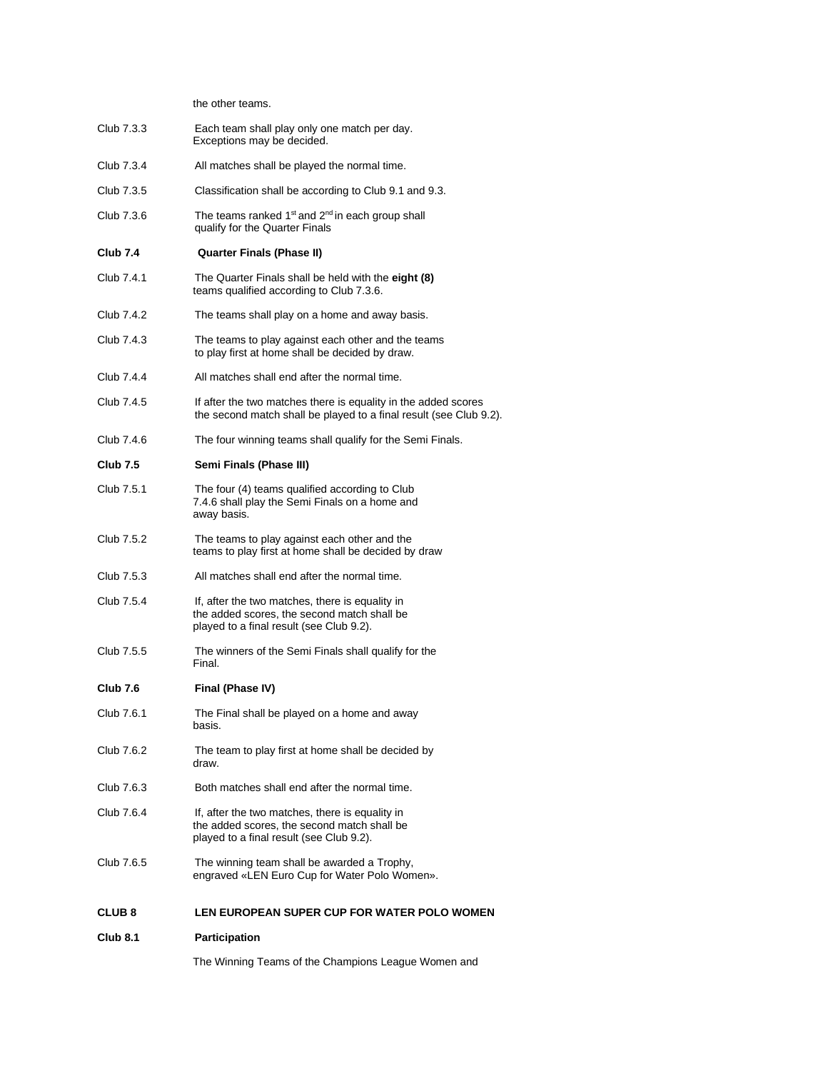the other teams.

Club 7.3.3 Each team shall play only one match per day. Exceptions may be decided. Club 7.3.4 All matches shall be played the normal time. Club 7.3.5 Classification shall be according to Club 9.1 and 9.3. Club 7.3.6 The teams ranked  $1<sup>st</sup>$  and  $2<sup>nd</sup>$  in each group shall qualify for the Quarter Finals **Club 7.4 Quarter Finals (Phase II)** Club 7.4.1 The Quarter Finals shall be held with the **eight (8)** teams qualified according to Club 7.3.6. Club 7.4.2 The teams shall play on a home and away basis. Club 7.4.3 The teams to play against each other and the teams to play first at home shall be decided by draw. Club 7.4.4 All matches shall end after the normal time. Club 7.4.5 If after the two matches there is equality in the added scores the second match shall be played to a final result (see Club 9.2). Club 7.4.6 The four winning teams shall qualify for the Semi Finals. **Club 7.5 Semi Finals (Phase III)**  Club 7.5.1 The four (4) teams qualified according to Club 7.4.6 shall play the Semi Finals on a home and away basis. Club 7.5.2 The teams to play against each other and the teams to play first at home shall be decided by draw Club 7.5.3 All matches shall end after the normal time. Club 7.5.4 If, after the two matches, there is equality in the added scores, the second match shall be played to a final result (see Club 9.2). Club 7.5.5 The winners of the Semi Finals shall qualify for the Final. **Club 7.6 Final (Phase IV)**  Club 7.6.1 The Final shall be played on a home and away basis. Club 7.6.2 The team to play first at home shall be decided by draw. Club 7.6.3 Both matches shall end after the normal time. Club 7.6.4 If, after the two matches, there is equality in the added scores, the second match shall be played to a final result (see Club 9.2). Club 7.6.5 The winning team shall be awarded a Trophy, engraved «LEN Euro Cup for Water Polo Women». **CLUB 8 LEN EUROPEAN SUPER CUP FOR WATER POLO WOMEN Club 8.1 Participation** The Winning Teams of the Champions League Women and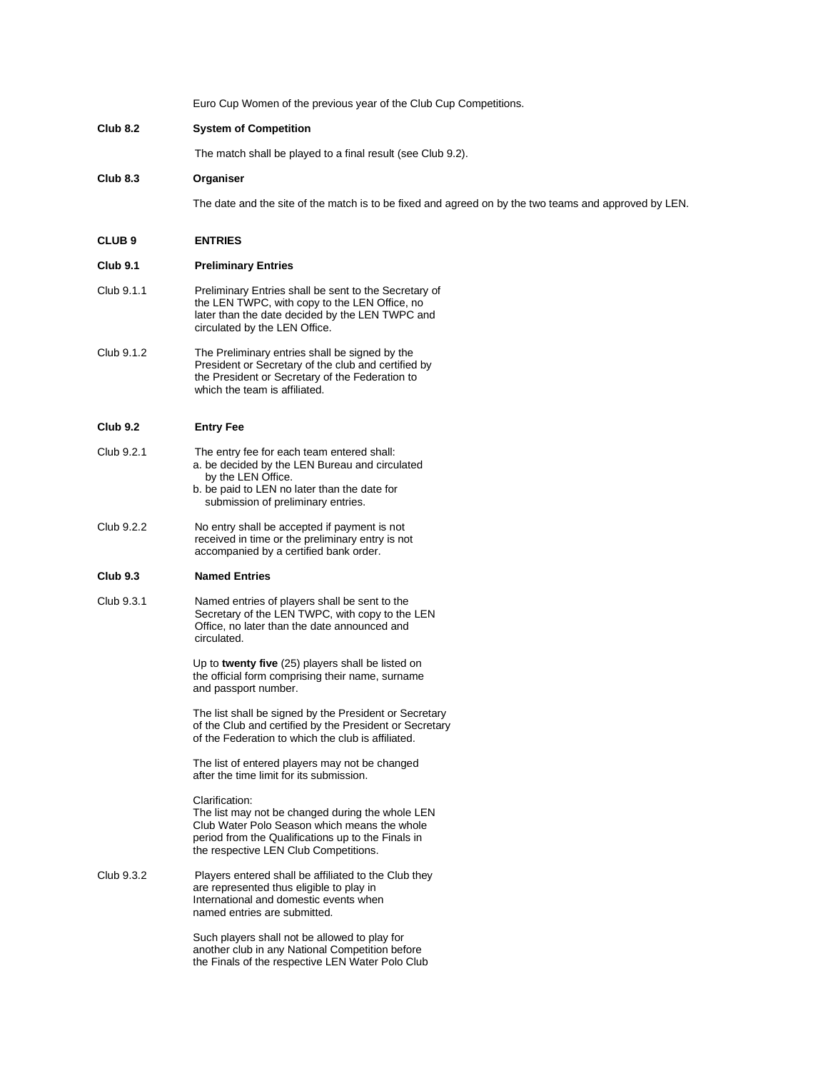Euro Cup Women of the previous year of the Club Cup Competitions. **Club 8.2 System of Competition** The match shall be played to a final result (see Club 9.2). **Club 8.3 Organiser** The date and the site of the match is to be fixed and agreed on by the two teams and approved by LEN. **CLUB 9 ENTRIES Club 9.1 Preliminary Entries**  Club 9.1.1 Preliminary Entries shall be sent to the Secretary of the LEN TWPC, with copy to the LEN Office, no later than the date decided by the LEN TWPC and circulated by the LEN Office. Club 9.1.2 The Preliminary entries shall be signed by the President or Secretary of the club and certified by the President or Secretary of the Federation to which the team is affiliated. **Club 9.2 Entry Fee**  Club 9.2.1 The entry fee for each team entered shall: a. be decided by the LEN Bureau and circulated by the LEN Office. b. be paid to LEN no later than the date for submission of preliminary entries. Club 9.2.2 No entry shall be accepted if payment is not received in time or the preliminary entry is not accompanied by a certified bank order. **Club 9.3 Named Entries**  Club 9.3.1 Named entries of players shall be sent to the Secretary of the LEN TWPC, with copy to the LEN Office, no later than the date announced and circulated. Up to **twenty five** (25) players shall be listed on the official form comprising their name, surname and passport number. The list shall be signed by the President or Secretary of the Club and certified by the President or Secretary of the Federation to which the club is affiliated. The list of entered players may not be changed after the time limit for its submission. Clarification: The list may not be changed during the whole LEN Club Water Polo Season which means the whole period from the Qualifications up to the Finals in the respective LEN Club Competitions. Club 9.3.2 Players entered shall be affiliated to the Club they are represented thus eligible to play in International and domestic events when named entries are submitted. Such players shall not be allowed to play for another club in any National Competition before the Finals of the respective LEN Water Polo Club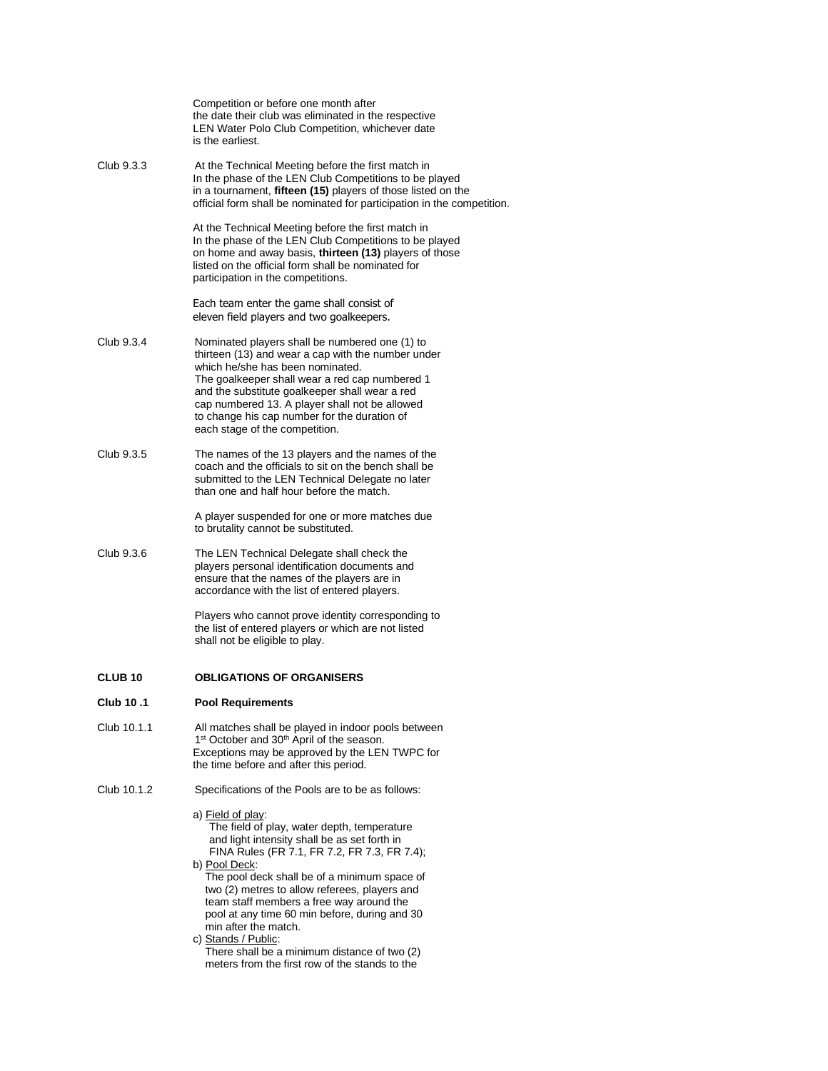|                    | Competition or before one month after<br>the date their club was eliminated in the respective<br>LEN Water Polo Club Competition, whichever date<br>is the earliest.                                                                                                                                                                                                                                                                                                                                                                             |
|--------------------|--------------------------------------------------------------------------------------------------------------------------------------------------------------------------------------------------------------------------------------------------------------------------------------------------------------------------------------------------------------------------------------------------------------------------------------------------------------------------------------------------------------------------------------------------|
| Club 9.3.3         | At the Technical Meeting before the first match in<br>In the phase of the LEN Club Competitions to be played<br>in a tournament, fifteen (15) players of those listed on the<br>official form shall be nominated for participation in the competition.                                                                                                                                                                                                                                                                                           |
|                    | At the Technical Meeting before the first match in<br>In the phase of the LEN Club Competitions to be played<br>on home and away basis, thirteen (13) players of those<br>listed on the official form shall be nominated for<br>participation in the competitions.                                                                                                                                                                                                                                                                               |
|                    | Each team enter the game shall consist of<br>eleven field players and two goalkeepers.                                                                                                                                                                                                                                                                                                                                                                                                                                                           |
| Club 9.3.4         | Nominated players shall be numbered one (1) to<br>thirteen (13) and wear a cap with the number under<br>which he/she has been nominated.<br>The goalkeeper shall wear a red cap numbered 1<br>and the substitute goalkeeper shall wear a red<br>cap numbered 13. A player shall not be allowed<br>to change his cap number for the duration of<br>each stage of the competition.                                                                                                                                                                 |
| Club 9.3.5         | The names of the 13 players and the names of the<br>coach and the officials to sit on the bench shall be<br>submitted to the LEN Technical Delegate no later<br>than one and half hour before the match.                                                                                                                                                                                                                                                                                                                                         |
|                    | A player suspended for one or more matches due<br>to brutality cannot be substituted.                                                                                                                                                                                                                                                                                                                                                                                                                                                            |
| Club 9.3.6         | The LEN Technical Delegate shall check the<br>players personal identification documents and<br>ensure that the names of the players are in<br>accordance with the list of entered players.                                                                                                                                                                                                                                                                                                                                                       |
|                    | Players who cannot prove identity corresponding to<br>the list of entered players or which are not listed<br>shall not be eligible to play.                                                                                                                                                                                                                                                                                                                                                                                                      |
| CLUB <sub>10</sub> | <b>OBLIGATIONS OF ORGANISERS</b>                                                                                                                                                                                                                                                                                                                                                                                                                                                                                                                 |
| 1. 10 Club         | <b>Pool Requirements</b>                                                                                                                                                                                                                                                                                                                                                                                                                                                                                                                         |
| Club 10.1.1        | All matches shall be played in indoor pools between<br>1 <sup>st</sup> October and 30 <sup>th</sup> April of the season.<br>Exceptions may be approved by the LEN TWPC for<br>the time before and after this period.                                                                                                                                                                                                                                                                                                                             |
| Club 10.1.2        | Specifications of the Pools are to be as follows:                                                                                                                                                                                                                                                                                                                                                                                                                                                                                                |
|                    | a) <u>Field of play</u> :<br>The field of play, water depth, temperature<br>and light intensity shall be as set forth in<br>FINA Rules (FR 7.1, FR 7.2, FR 7.3, FR 7.4);<br>b) <u>Pool Deck</u> :<br>The pool deck shall be of a minimum space of<br>two (2) metres to allow referees, players and<br>team staff members a free way around the<br>pool at any time 60 min before, during and 30<br>min after the match.<br>c) Stands / Public:<br>There shall be a minimum distance of two (2)<br>meters from the first row of the stands to the |
|                    |                                                                                                                                                                                                                                                                                                                                                                                                                                                                                                                                                  |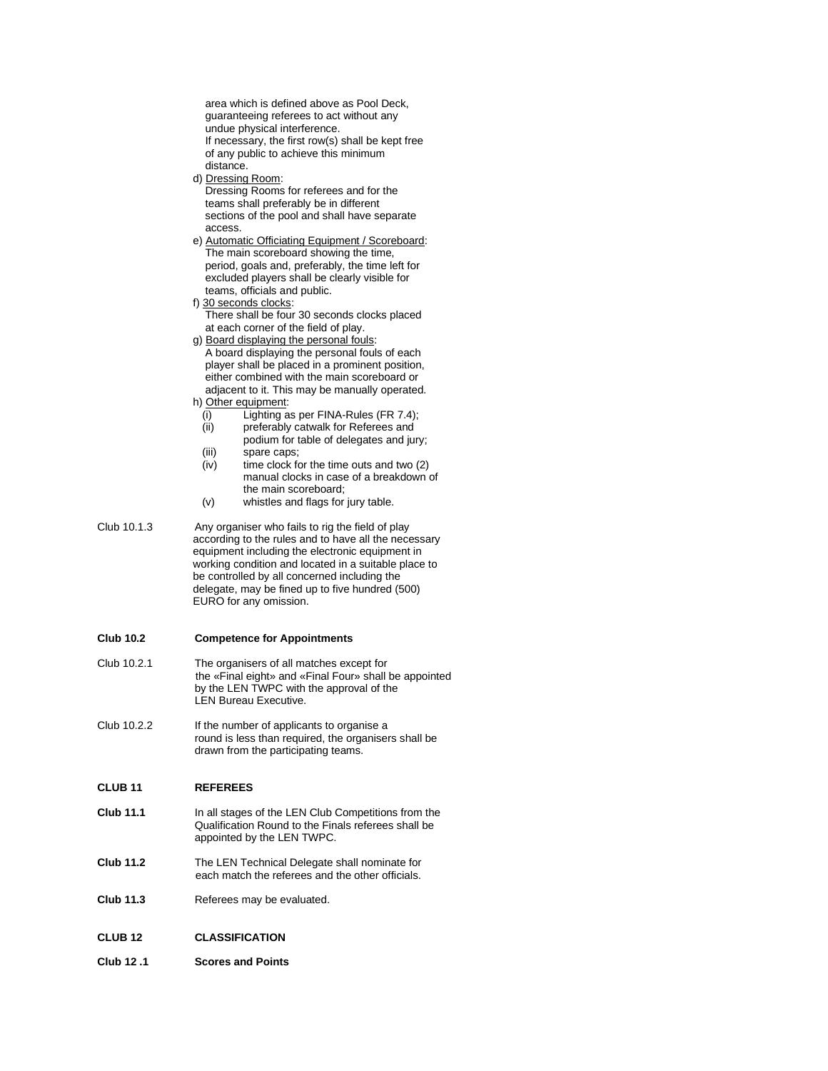area which is defined above as Pool Deck, guaranteeing referees to act without any undue physical interference. If necessary, the first row(s) shall be kept free of any public to achieve this minimum distance.

d) Dressing Room:

 Dressing Rooms for referees and for the teams shall preferably be in different sections of the pool and shall have separate access.

e) Automatic Officiating Equipment / Scoreboard: The main scoreboard showing the time, period, goals and, preferably, the time left for excluded players shall be clearly visible for teams, officials and public.

- f) 30 seconds clocks: There shall be four 30 seconds clocks placed at each corner of the field of play.
- g) Board displaying the personal fouls: A board displaying the personal fouls of each player shall be placed in a prominent position, either combined with the main scoreboard or adjacent to it. This may be manually operated.
- h) Other equipment:
	- (i) Lighting as per FINA-Rules (FR 7.4);
	- (ii) preferably catwalk for Referees and podium for table of delegates and jury;
	- (iii) spare caps;
	- (iv) time clock for the time outs and two (2) manual clocks in case of a breakdown of the main scoreboard;
	- (v) whistles and flags for jury table.
- Club 10.1.3 Any organiser who fails to rig the field of play according to the rules and to have all the necessary equipment including the electronic equipment in working condition and located in a suitable place to be controlled by all concerned including the delegate, may be fined up to five hundred (500) EURO for any omission.

### **Club 10.2 Competence for Appointments**

- Club 10.2.1 The organisers of all matches except for the «Final eight» and «Final Four» shall be appointed by the LEN TWPC with the approval of the LEN Bureau Executive.
- Club 10.2.2 If the number of applicants to organise a round is less than required, the organisers shall be drawn from the participating teams.

#### **CLUB 11 REFEREES**

- **Club 11.1** In all stages of the LEN Club Competitions from the Qualification Round to the Finals referees shall be appointed by the LEN TWPC.
- **Club 11.2** The LEN Technical Delegate shall nominate for each match the referees and the other officials.
- **Club 11.3** Referees may be evaluated.
- **CLUB 12 CLASSIFICATION**
- **Club 12 .1 Scores and Points**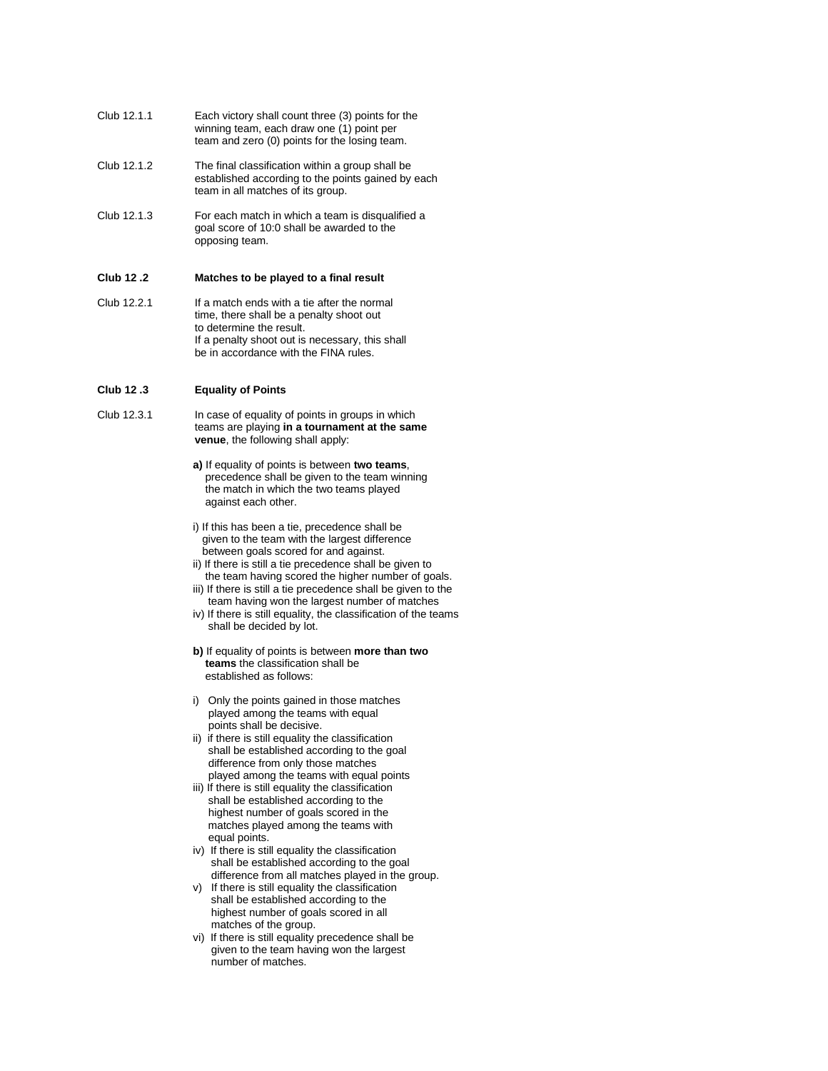- Club 12.1.1 Each victory shall count three (3) points for the winning team, each draw one (1) point per team and zero (0) points for the losing team.
- Club 12.1.2 The final classification within a group shall be established according to the points gained by each team in all matches of its group.
- Club 12.1.3 For each match in which a team is disqualified a goal score of 10:0 shall be awarded to the opposing team.

#### **Club 12 .2 Matches to be played to a final result**

Club 12.2.1 If a match ends with a tie after the normal time, there shall be a penalty shoot out to determine the result. If a penalty shoot out is necessary, this shall be in accordance with the FINA rules.

# **Club 12 .3 Equality of Points**

- Club 12.3.1 In case of equality of points in groups in which teams are playing **in a tournament at the same venue**, the following shall apply:
	- **a)** If equality of points is between **two teams**, precedence shall be given to the team winning the match in which the two teams played against each other.
	- i) If this has been a tie, precedence shall be given to the team with the largest difference between goals scored for and against.
	- ii) If there is still a tie precedence shall be given to the team having scored the higher number of goals.
	- iii) If there is still a tie precedence shall be given to the team having won the largest number of matches
	- iv) If there is still equality, the classification of the teams shall be decided by lot.
	- **b)** If equality of points is between **more than two teams** the classification shall be established as follows:
	- i) Only the points gained in those matches played among the teams with equal points shall be decisive.
	- ii) if there is still equality the classification shall be established according to the goal difference from only those matches played among the teams with equal points
	- iii) If there is still equality the classification shall be established according to the highest number of goals scored in the matches played among the teams with equal points.
	- iv) If there is still equality the classification shall be established according to the goal difference from all matches played in the group.
	- v) If there is still equality the classification shall be established according to the highest number of goals scored in all matches of the group.
	- vi) If there is still equality precedence shall be given to the team having won the largest number of matches.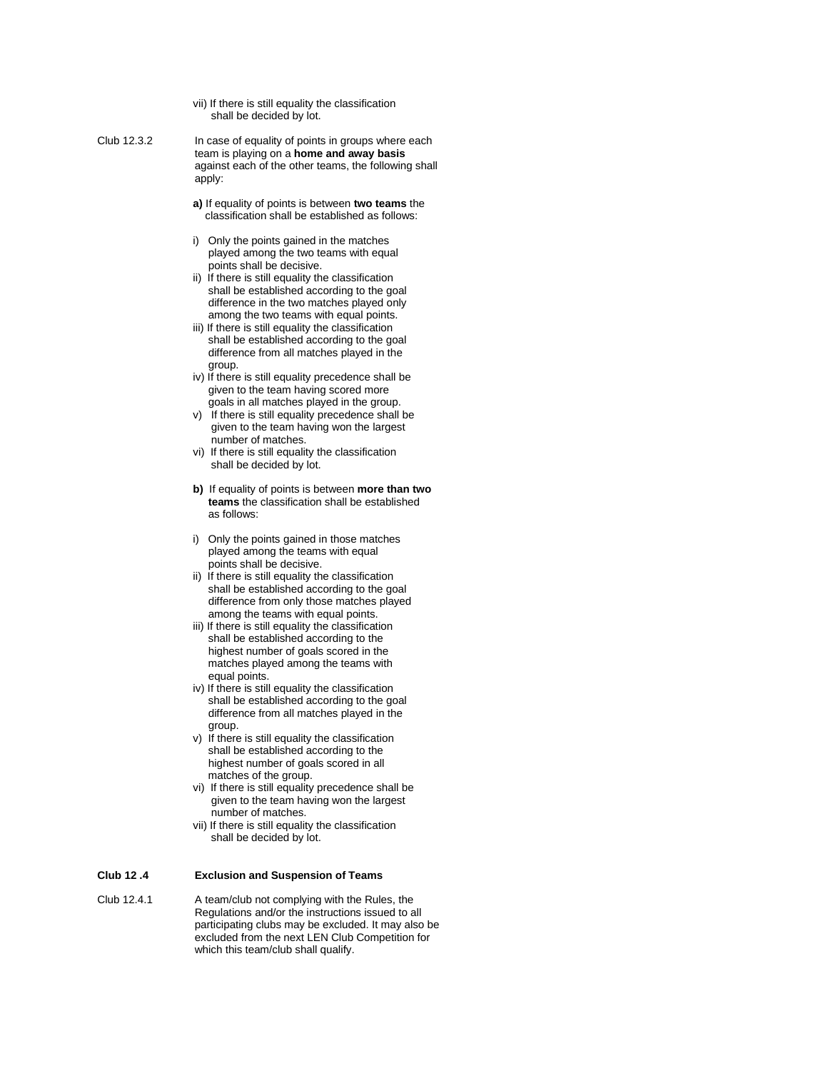vii) If there is still equality the classification shall be decided by lot.

Club 12.3.2 In case of equality of points in groups where each team is playing on a **home and away basis** against each of the other teams, the following shall apply:

- **a)** If equality of points is between **two teams** the classification shall be established as follows:
- i) Only the points gained in the matches played among the two teams with equal points shall be decisive.
- ii) If there is still equality the classification shall be established according to the goal difference in the two matches played only among the two teams with equal points.
- iii) If there is still equality the classification shall be established according to the goal difference from all matches played in the group.
- iv) If there is still equality precedence shall be given to the team having scored more goals in all matches played in the group.
- v) If there is still equality precedence shall be given to the team having won the largest number of matches.
- vi) If there is still equality the classification shall be decided by lot.
- **b)** If equality of points is between **more than two teams** the classification shall be established as follows:
- i) Only the points gained in those matches played among the teams with equal points shall be decisive.
- ii) If there is still equality the classification shall be established according to the goal difference from only those matches played among the teams with equal points.
- iii) If there is still equality the classification shall be established according to the highest number of goals scored in the matches played among the teams with equal points.
- iv) If there is still equality the classification shall be established according to the goal difference from all matches played in the group.
- v) If there is still equality the classification shall be established according to the highest number of goals scored in all matches of the group.
- vi) If there is still equality precedence shall be given to the team having won the largest number of matches.
- vii) If there is still equality the classification shall be decided by lot.

### **Club 12 .4 Exclusion and Suspension of Teams**

Club 12.4.1 A team/club not complying with the Rules, the Regulations and/or the instructions issued to all participating clubs may be excluded. It may also be excluded from the next LEN Club Competition for which this team/club shall qualify.